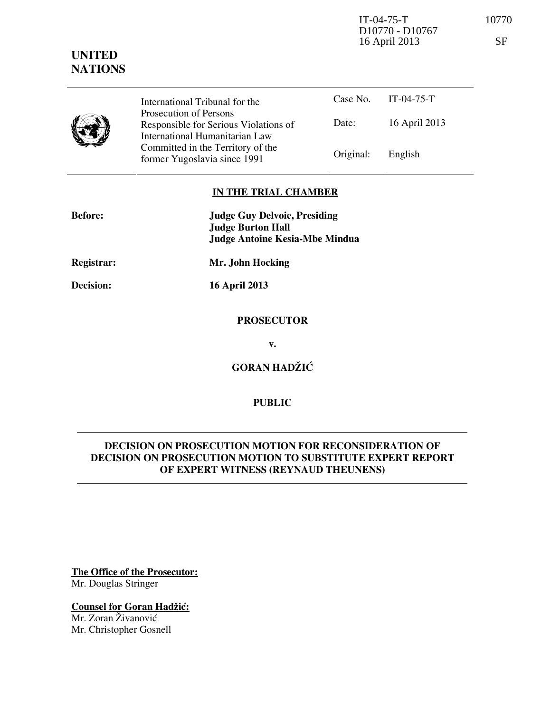IT-04-75-T 10770 D10770 - D10767 16 April 2013 SF

# **UNITED NATIONS**

|  | International Tribunal for the                                                                    |           | Case No. $IT-04-75-T$ |  |
|--|---------------------------------------------------------------------------------------------------|-----------|-----------------------|--|
|  | Prosecution of Persons<br>Responsible for Serious Violations of<br>International Humanitarian Law | Date:     | 16 April 2013         |  |
|  | Committed in the Territory of the<br>former Yugoslavia since 1991                                 | Original: | English               |  |

## **IN THE TRIAL CHAMBER**

| <b>Before:</b> | <b>Judge Guy Delvoie, Presiding</b><br><b>Judge Burton Hall</b><br>Judge Antoine Kesia-Mbe Mindua |
|----------------|---------------------------------------------------------------------------------------------------|
| Registrar:     | Mr. John Hocking                                                                                  |

**Decision: 16 April 2013** 

#### **PROSECUTOR**

**v.** 

**GORAN HADŽIĆ** 

## **PUBLIC**

## **DECISION ON PROSECUTION MOTION FOR RECONSIDERATION OF DECISION ON PROSECUTION MOTION TO SUBSTITUTE EXPERT REPORT OF EXPERT WITNESS (REYNAUD THEUNENS)**

**The Office of the Prosecutor:** Mr. Douglas Stringer

**Counsel for Goran Hadžić:** Mr. Zoran Živanović

Mr. Christopher Gosnell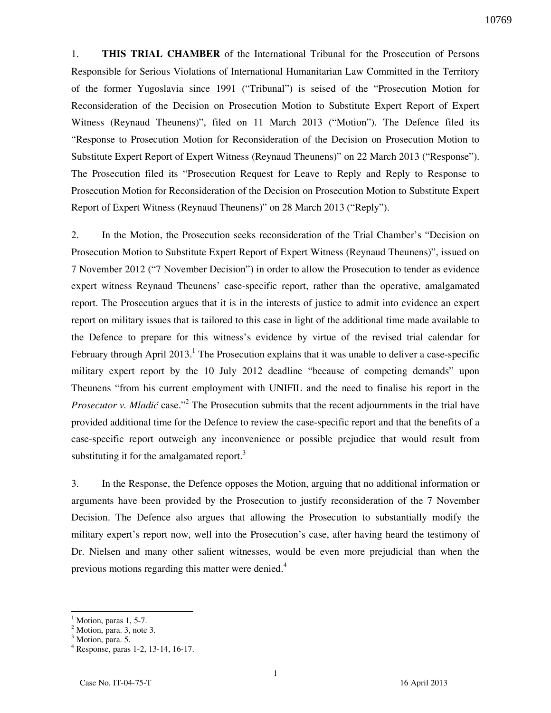1. **THIS TRIAL CHAMBER** of the International Tribunal for the Prosecution of Persons Responsible for Serious Violations of International Humanitarian Law Committed in the Territory of the former Yugoslavia since 1991 ("Tribunal") is seised of the "Prosecution Motion for Reconsideration of the Decision on Prosecution Motion to Substitute Expert Report of Expert Witness (Reynaud Theunens)", filed on 11 March 2013 ("Motion"). The Defence filed its "Response to Prosecution Motion for Reconsideration of the Decision on Prosecution Motion to Substitute Expert Report of Expert Witness (Reynaud Theunens)" on 22 March 2013 ("Response"). The Prosecution filed its "Prosecution Request for Leave to Reply and Reply to Response to Prosecution Motion for Reconsideration of the Decision on Prosecution Motion to Substitute Expert Report of Expert Witness (Reynaud Theunens)" on 28 March 2013 ("Reply").

2. In the Motion, the Prosecution seeks reconsideration of the Trial Chamber's "Decision on Prosecution Motion to Substitute Expert Report of Expert Witness (Reynaud Theunens)", issued on 7 November 2012 ("7 November Decision") in order to allow the Prosecution to tender as evidence expert witness Reynaud Theunens' case-specific report, rather than the operative, amalgamated report. The Prosecution argues that it is in the interests of justice to admit into evidence an expert report on military issues that is tailored to this case in light of the additional time made available to the Defence to prepare for this witness's evidence by virtue of the revised trial calendar for February through April 2013.<sup>1</sup> The Prosecution explains that it was unable to deliver a case-specific military expert report by the 10 July 2012 deadline "because of competing demands" upon Theunens "from his current employment with UNIFIL and the need to finalise his report in the *Prosecutor v. Mladić* case."<sup>2</sup> The Prosecution submits that the recent adjournments in the trial have provided additional time for the Defence to review the case-specific report and that the benefits of a case-specific report outweigh any inconvenience or possible prejudice that would result from substituting it for the amalgamated report. $3$ 

3. In the Response, the Defence opposes the Motion, arguing that no additional information or arguments have been provided by the Prosecution to justify reconsideration of the 7 November Decision. The Defence also argues that allowing the Prosecution to substantially modify the military expert's report now, well into the Prosecution's case, after having heard the testimony of Dr. Nielsen and many other salient witnesses, would be even more prejudicial than when the previous motions regarding this matter were denied.<sup>4</sup>

 $\overline{a}$ 

<sup>1</sup> Motion, paras 1, 5-7.

<sup>&</sup>lt;sup>2</sup> Motion, para. 3, note 3.

<sup>&</sup>lt;sup>3</sup> Motion, para. 5.

<sup>4</sup> Response, paras 1-2, 13-14, 16-17.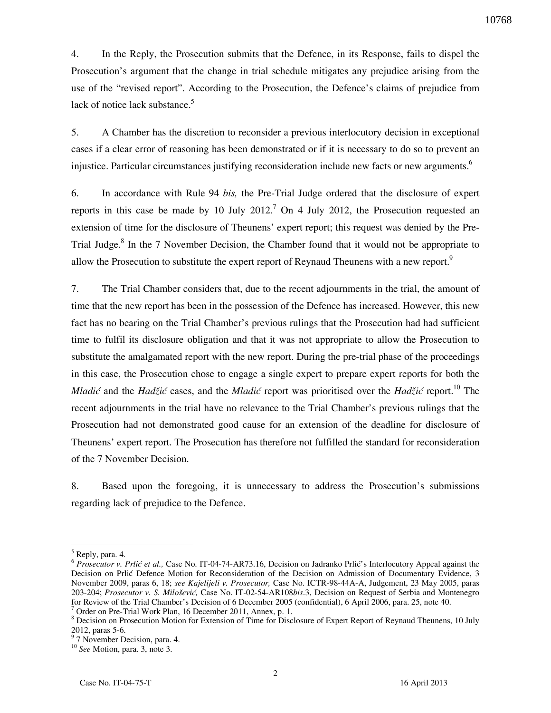4. In the Reply, the Prosecution submits that the Defence, in its Response, fails to dispel the Prosecution's argument that the change in trial schedule mitigates any prejudice arising from the use of the "revised report". According to the Prosecution, the Defence's claims of prejudice from lack of notice lack substance.<sup>5</sup>

5. A Chamber has the discretion to reconsider a previous interlocutory decision in exceptional cases if a clear error of reasoning has been demonstrated or if it is necessary to do so to prevent an injustice. Particular circumstances justifying reconsideration include new facts or new arguments.<sup>6</sup>

6. In accordance with Rule 94 *bis,* the Pre-Trial Judge ordered that the disclosure of expert reports in this case be made by 10 July 2012.<sup>7</sup> On 4 July 2012, the Prosecution requested an extension of time for the disclosure of Theunens' expert report; this request was denied by the Pre-Trial Judge.<sup>8</sup> In the 7 November Decision, the Chamber found that it would not be appropriate to allow the Prosecution to substitute the expert report of Reynaud Theunens with a new report.<sup>9</sup>

7. The Trial Chamber considers that, due to the recent adjournments in the trial, the amount of time that the new report has been in the possession of the Defence has increased. However, this new fact has no bearing on the Trial Chamber's previous rulings that the Prosecution had had sufficient time to fulfil its disclosure obligation and that it was not appropriate to allow the Prosecution to substitute the amalgamated report with the new report. During the pre-trial phase of the proceedings in this case, the Prosecution chose to engage a single expert to prepare expert reports for both the *Mladić* and the *Hadžić* cases, and the *Mladić* report was prioritised over the *Hadžić* report.<sup>10</sup> The recent adjournments in the trial have no relevance to the Trial Chamber's previous rulings that the Prosecution had not demonstrated good cause for an extension of the deadline for disclosure of Theunens' expert report. The Prosecution has therefore not fulfilled the standard for reconsideration of the 7 November Decision.

8. Based upon the foregoing, it is unnecessary to address the Prosecution's submissions regarding lack of prejudice to the Defence.

 $\overline{a}$ 

<sup>&</sup>lt;sup>5</sup> Reply, para. 4.

<sup>&</sup>lt;sup>6</sup> Prosecutor v. Prlić et al., Case No. IT-04-74-AR73.16, Decision on Jadranko Prlić's Interlocutory Appeal against the Decision on Prlić Defence Motion for Reconsideration of the Decision on Admission of Documentary Evidence, 3 November 2009, paras 6, 18; *see Kajelijeli v. Prosecutor,* Case No. ICTR-98-44A-A, Judgement, 23 May 2005, paras 203-204; *Prosecutor v. S. Milo{evi},* Case No. IT-02-54-AR108*bis*.3, Decision on Request of Serbia and Montenegro for Review of the Trial Chamber's Decision of 6 December 2005 (confidential), 6 April 2006, para. 25, note 40. 7

Order on Pre-Trial Work Plan, 16 December 2011, Annex, p. 1.

<sup>&</sup>lt;sup>8</sup> Decision on Prosecution Motion for Extension of Time for Disclosure of Expert Report of Reynaud Theunens, 10 July 2012, paras 5-6.

<sup>&</sup>lt;sup>9</sup> 7 November Decision, para. 4.

<sup>10</sup> *See* Motion, para. 3, note 3.